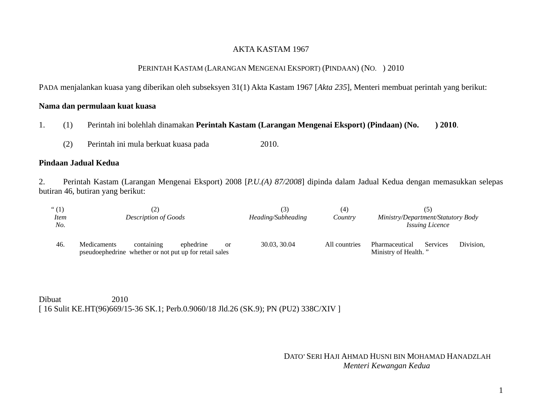# AKTA KASTAM 1967

## PERINTAH KASTAM (LARANGAN MENGENAI EKSPORT) (PINDAAN) (NO. ) 2010

PADA menjalankan kuasa yang diberikan oleh subseksyen 31(1) Akta Kastam 1967 [*Akta 235*], Menteri membuat perintah yang berikut:

## **Nama dan permulaan kuat kuasa**

- 1. (1) Perintah ini bolehlah dinamakan **Perintah Kastam (Larangan Mengenai Eksport) (Pindaan) (No. ) 2010**.
	- (2) Perintah ini mula berkuat kuasa pada 2010.

### **Pindaan Jadual Kedua**

2. Perintah Kastam (Larangan Mengenai Eksport) 2008 [*P.U.(A) 87/2008*] dipinda dalam Jadual Kedua dengan memasukkan selepas butiran 46, butiran yang berikut:

| ``(1)<br><i>Item</i><br>No. | <b>Description of Goods</b>                                           |            |           |           | [3]<br>Heading/Subheading | (4`<br>Country | Ministry/Department/Statutory Body<br><b>Issuing Licence</b> |          |           |
|-----------------------------|-----------------------------------------------------------------------|------------|-----------|-----------|---------------------------|----------------|--------------------------------------------------------------|----------|-----------|
| 46.                         | Medicaments<br>pseudoephedrine whether or not put up for retail sales | containing | ephedrine | <b>or</b> | 30.03, 30.04              | All countries  | Pharmaceutical<br>Ministry of Health."                       | Services | Division. |

Dibuat 2010 [ 16 Sulit KE.HT(96)669/15-36 SK.1; Perb.0.9060/18 Jld.26 (SK.9); PN (PU2) 338C/XIV ]

# DATO' SERI HAJI AHMAD HUSNI BIN MOHAMAD HANADZLAH *Menteri Kewangan Kedua*